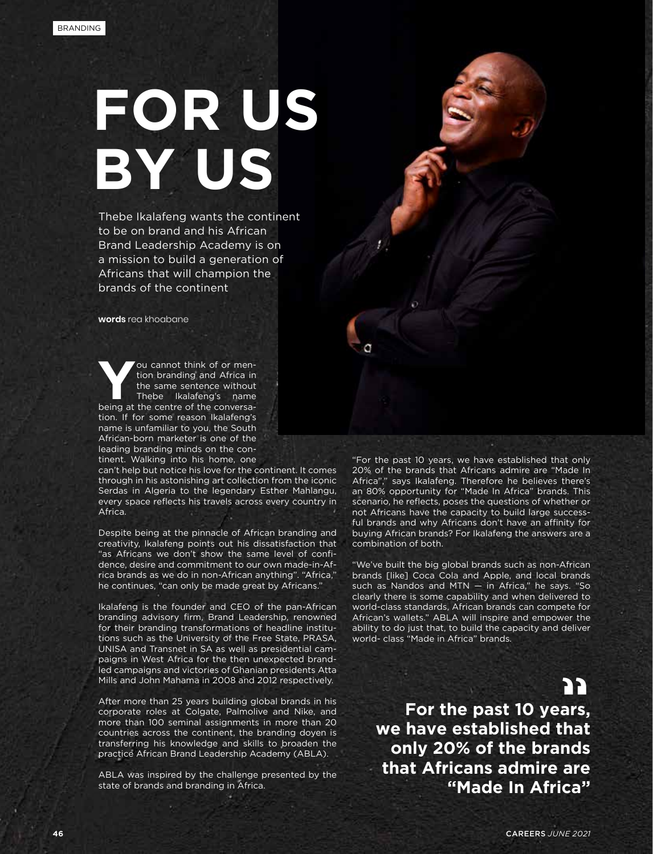## **FOR US BY US**

Thebe Ikalafeng wants the continent to be on brand and his African Brand Leadership Academy is on a mission to build a generation of Africans that will champion the brands of the continent

**words** rea khoabane

**You cannot think of or mention branding and Africa in<br>the same sentence without<br>the simple I khalafeng's name<br>the cantre of the conversa**tion branding and Africa in the same sentence without Thebe Ikalafeng's name being at the centre of the conversation. If for some reason Ikalafeng's name is unfamiliar to you, the South African-born marketer is one of the leading branding minds on the continent. Walking into his home, one

can't help but notice his love for the continent. It comes through in his astonishing art collection from the iconic Serdas in Algeria to the legendary Esther Mahlangu, every space reflects his travels across every country in Africa.

Despite being at the pinnacle of African branding and creativity, Ikalafeng points out his dissatisfaction that "as Africans we don't show the same level of confidence, desire and commitment to our own made-in-Africa brands as we do in non-African anything". "Africa," he continues, "can only be made great by Africans."

Ikalafeng is the founder and CEO of the pan-African branding advisory firm, Brand Leadership, renowned for their branding transformations of headline institutions such as the University of the Free State, PRASA, UNISA and Transnet in SA as well as presidential campaigns in West Africa for the then unexpected brandled campaigns and victories of Ghanian presidents Atta Mills and John Mahama in 2008 and 2012 respectively.

After more than 25 years building global brands in his corporate roles at Colgate, Palmolive and Nike, and more than 100 seminal assignments in more than 20 countries across the continent, the branding doyen is transferring his knowledge and skills to broaden the practice African Brand Leadership Academy (ABLA).

ABLA was inspired by the challenge presented by the state of brands and branding in Africa.

"For the past 10 years, we have established that only 20% of the brands that Africans admire are "Made In Africa"," says Ikalafeng. Therefore he believes there's an 80% opportunity for "Made In Africa" brands. This scenario, he reflects, poses the questions of whether or not Africans have the capacity to build large successful brands and why Africans don't have an affinity for buying African brands? For Ikalafeng the answers are a combination of both.

"We've built the big global brands such as non-African brands [like] Coca Cola and Apple, and local brands such as Nandos and MTN — in Africa," he says. "So clearly there is some capability and when delivered to world-class standards, African brands can compete for African's wallets." ABLA will inspire and empower the ability to do just that, to build the capacity and deliver world- class "Made in Africa" brands.

**For the past 10 years, we have established that only 20% of the brands that Africans admire are "Made In Africa" "**